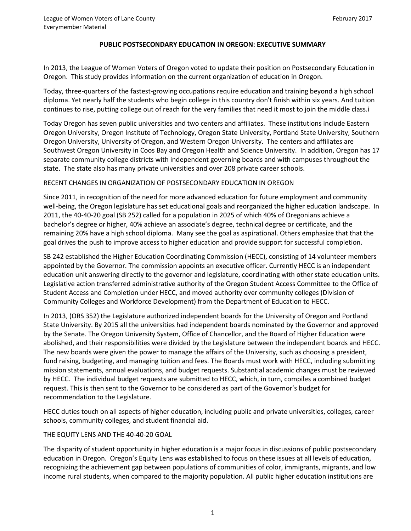### **PUBLIC POSTSECONDARY EDUCATION IN OREGON: EXECUTIVE SUMMARY**

In 2013, the League of Women Voters of Oregon voted to update their position on Postsecondary Education in Oregon. This study provides information on the current organization of education in Oregon.

Today, three-quarters of the fastest-growing occupations require education and training beyond a high school diploma. Yet nearly half the students who begin college in this country don't finish within six years. And tuition continues to rise, putting college out of reach for the very families that need it most to join the middle class.i

Today Oregon has seven public universities and two centers and affiliates. These institutions include Eastern Oregon University, Oregon Institute of Technology, Oregon State University, Portland State University, Southern Oregon University, University of Oregon, and Western Oregon University. The centers and affiliates are Southwest Oregon University in Coos Bay and Oregon Health and Science University. In addition, Oregon has 17 separate community college districts with independent governing boards and with campuses throughout the state. The state also has many private universities and over 208 private career schools.

### RECENT CHANGES IN ORGANIZATION OF POSTSECONDARY EDUCATION IN OREGON

Since 2011, in recognition of the need for more advanced education for future employment and community well-being, the Oregon legislature has set educational goals and reorganized the higher education landscape. In 2011, the 40-40-20 goal (SB 252) called for a population in 2025 of which 40% of Oregonians achieve a bachelor's degree or higher, 40% achieve an associate's degree, technical degree or certificate, and the remaining 20% have a high school diploma. Many see the goal as aspirational. Others emphasize that that the goal drives the push to improve access to higher education and provide support for successful completion.

SB 242 established the Higher Education Coordinating Commission (HECC), consisting of 14 volunteer members appointed by the Governor. The commission appoints an executive officer. Currently HECC is an independent education unit answering directly to the governor and legislature, coordinating with other state education units. Legislative action transferred administrative authority of the Oregon Student Access Committee to the Office of Student Access and Completion under HECC, and moved authority over community colleges (Division of Community Colleges and Workforce Development) from the Department of Education to HECC.

In 2013, (ORS 352) the Legislature authorized independent boards for the University of Oregon and Portland State University. By 2015 all the universities had independent boards nominated by the Governor and approved by the Senate. The Oregon University System, Office of Chancellor, and the Board of Higher Education were abolished, and their responsibilities were divided by the Legislature between the independent boards and HECC. The new boards were given the power to manage the affairs of the University, such as choosing a president, fund raising, budgeting, and managing tuition and fees. The Boards must work with HECC, including submitting mission statements, annual evaluations, and budget requests. Substantial academic changes must be reviewed by HECC. The individual budget requests are submitted to HECC, which, in turn, compiles a combined budget request. This is then sent to the Governor to be considered as part of the Governor's budget for recommendation to the Legislature.

HECC duties touch on all aspects of higher education, including public and private universities, colleges, career schools, community colleges, and student financial aid.

### THE EQUITY LENS AND THE 40-40-20 GOAL

The disparity of student opportunity in higher education is a major focus in discussions of public postsecondary education in Oregon. Oregon's Equity Lens was established to focus on these issues at all levels of education, recognizing the achievement gap between populations of communities of color, immigrants, migrants, and low income rural students, when compared to the majority population. All public higher education institutions are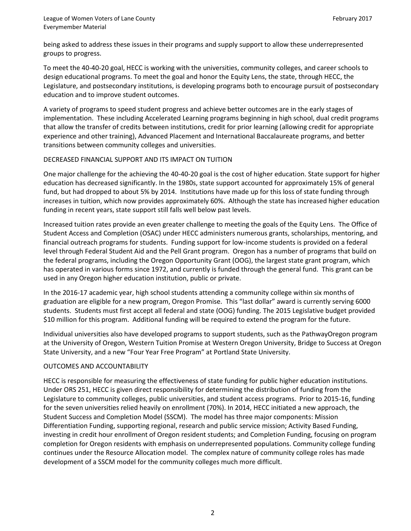being asked to address these issues in their programs and supply support to allow these underrepresented groups to progress.

To meet the 40-40-20 goal, HECC is working with the universities, community colleges, and career schools to design educational programs. To meet the goal and honor the Equity Lens, the state, through HECC, the Legislature, and postsecondary institutions, is developing programs both to encourage pursuit of postsecondary education and to improve student outcomes.

A variety of programs to speed student progress and achieve better outcomes are in the early stages of implementation. These including Accelerated Learning programs beginning in high school, dual credit programs that allow the transfer of credits between institutions, credit for prior learning (allowing credit for appropriate experience and other training), Advanced Placement and International Baccalaureate programs, and better transitions between community colleges and universities.

## DECREASED FINANCIAL SUPPORT AND ITS IMPACT ON TUITION

One major challenge for the achieving the 40-40-20 goal is the cost of higher education. State support for higher education has decreased significantly. In the 1980s, state support accounted for approximately 15% of general fund, but had dropped to about 5% by 2014. Institutions have made up for this loss of state funding through increases in tuition, which now provides approximately 60%. Although the state has increased higher education funding in recent years, state support still falls well below past levels.

Increased tuition rates provide an even greater challenge to meeting the goals of the Equity Lens. The Office of Student Access and Completion (OSAC) under HECC administers numerous grants, scholarships, mentoring, and financial outreach programs for students. Funding support for low-income students is provided on a federal level through Federal Student Aid and the Pell Grant program. Oregon has a number of programs that build on the federal programs, including the Oregon Opportunity Grant (OOG), the largest state grant program, which has operated in various forms since 1972, and currently is funded through the general fund. This grant can be used in any Oregon higher education institution, public or private.

In the 2016-17 academic year, high school students attending a community college within six months of graduation are eligible for a new program, Oregon Promise. This "last dollar" award is currently serving 6000 students. Students must first accept all federal and state (OOG) funding. The 2015 Legislative budget provided \$10 million for this program. Additional funding will be required to extend the program for the future.

Individual universities also have developed programs to support students, such as the PathwayOregon program at the University of Oregon, Western Tuition Promise at Western Oregon University, Bridge to Success at Oregon State University, and a new "Four Year Free Program" at Portland State University.

# OUTCOMES AND ACCOUNTABILITY

HECC is responsible for measuring the effectiveness of state funding for public higher education institutions. Under ORS 251, HECC is given direct responsibility for determining the distribution of funding from the Legislature to community colleges, public universities, and student access programs. Prior to 2015-16, funding for the seven universities relied heavily on enrollment (70%). In 2014, HECC initiated a new approach, the Student Success and Completion Model (SSCM). The model has three major components: Mission Differentiation Funding, supporting regional, research and public service mission; Activity Based Funding, investing in credit hour enrollment of Oregon resident students; and Completion Funding, focusing on program completion for Oregon residents with emphasis on underrepresented populations. Community college funding continues under the Resource Allocation model. The complex nature of community college roles has made development of a SSCM model for the community colleges much more difficult.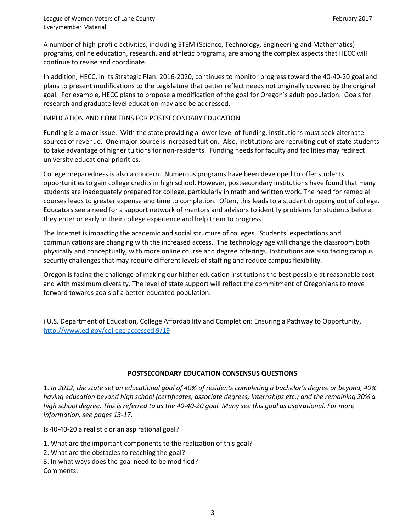A number of high-profile activities, including STEM (Science, Technology, Engineering and Mathematics) programs, online education, research, and athletic programs, are among the complex aspects that HECC will continue to revise and coordinate.

In addition, HECC, in its Strategic Plan: 2016-2020, continues to monitor progress toward the 40-40-20 goal and plans to present modifications to the Legislature that better reflect needs not originally covered by the original goal. For example, HECC plans to propose a modification of the goal for Oregon's adult population. Goals for research and graduate level education may also be addressed.

### IMPLICATION AND CONCERNS FOR POSTSECONDARY EDUCATION

Funding is a major issue. With the state providing a lower level of funding, institutions must seek alternate sources of revenue. One major source is increased tuition. Also, institutions are recruiting out of state students to take advantage of higher tuitions for non-residents. Funding needs for faculty and facilities may redirect university educational priorities.

College preparedness is also a concern. Numerous programs have been developed to offer students opportunities to gain college credits in high school. However, postsecondary institutions have found that many students are inadequately prepared for college, particularly in math and written work. The need for remedial courses leads to greater expense and time to completion. Often, this leads to a student dropping out of college. Educators see a need for a support network of mentors and advisors to identify problems for students before they enter or early in their college experience and help them to progress.

The Internet is impacting the academic and social structure of colleges. Students' expectations and communications are changing with the increased access. The technology age will change the classroom both physically and conceptually, with more online course and degree offerings. Institutions are also facing campus security challenges that may require different levels of staffing and reduce campus flexibility.

Oregon is facing the challenge of making our higher education institutions the best possible at reasonable cost and with maximum diversity. The level of state support will reflect the commitment of Oregonians to move forward towards goals of a better-educated population.

i U.S. Department of Education, College Affordability and Completion: Ensuring a Pathway to Opportunity, [http://www.ed.gov/college accessed 9/19](http://www.ed.gov/college%20accessed%209/19)

### **POSTSECONDARY EDUCATION CONSENSUS QUESTIONS**

1. *In 2012, the state set an educational goal of 40% of residents completing a bachelor's degree or beyond, 40% having education beyond high school (certificates, associate degrees, internships etc.) and the remaining 20% a high school degree. This is referred to as the 40-40-20 goal. Many see this goal as aspirational. For more information, see pages 13-17.* 

Is 40-40-20 a realistic or an aspirational goal?

1. What are the important components to the realization of this goal?

- 2. What are the obstacles to reaching the goal?
- 3. In what ways does the goal need to be modified?

Comments: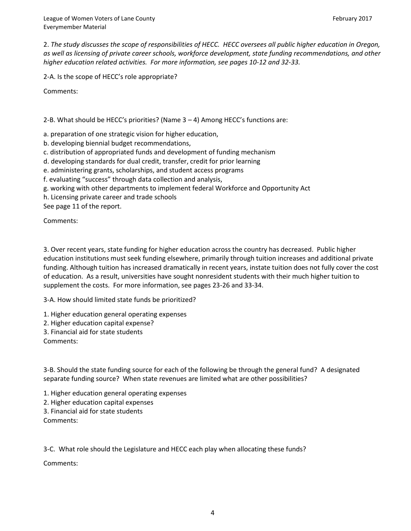2. *The study discusses the scope of responsibilities of HECC. HECC oversees all public higher education in Oregon, as well as licensing of private career schools, workforce development, state funding recommendations, and other higher education related activities. For more information, see pages 10-12 and 32-33.* 

2-A. Is the scope of HECC's role appropriate?

Comments:

2-B. What should be HECC's priorities? (Name  $3 - 4$ ) Among HECC's functions are:

a. preparation of one strategic vision for higher education,

b. developing biennial budget recommendations,

c. distribution of appropriated funds and development of funding mechanism

d. developing standards for dual credit, transfer, credit for prior learning

e. administering grants, scholarships, and student access programs

f. evaluating "success" through data collection and analysis,

g. working with other departments to implement federal Workforce and Opportunity Act

h. Licensing private career and trade schools

See page 11 of the report.

Comments:

3. Over recent years, state funding for higher education across the country has decreased. Public higher education institutions must seek funding elsewhere, primarily through tuition increases and additional private funding. Although tuition has increased dramatically in recent years, instate tuition does not fully cover the cost of education. As a result, universities have sought nonresident students with their much higher tuition to supplement the costs. For more information, see pages 23-26 and 33-34.

3-A. How should limited state funds be prioritized?

1. Higher education general operating expenses

2. Higher education capital expense?

3. Financial aid for state students

Comments:

3-B. Should the state funding source for each of the following be through the general fund? A designated separate funding source? When state revenues are limited what are other possibilities?

1. Higher education general operating expenses

2. Higher education capital expenses

3. Financial aid for state students

Comments:

3-C. What role should the Legislature and HECC each play when allocating these funds?

Comments: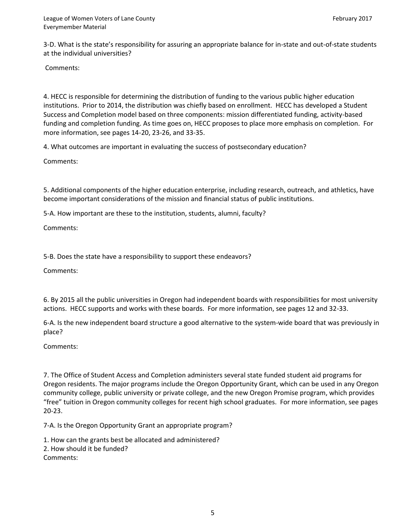3-D. What is the state's responsibility for assuring an appropriate balance for in-state and out-of-state students at the individual universities?

Comments:

4. HECC is responsible for determining the distribution of funding to the various public higher education institutions. Prior to 2014, the distribution was chiefly based on enrollment. HECC has developed a Student Success and Completion model based on three components: mission differentiated funding, activity-based funding and completion funding. As time goes on, HECC proposes to place more emphasis on completion. For more information, see pages 14-20, 23-26, and 33-35.

4. What outcomes are important in evaluating the success of postsecondary education?

Comments:

5. Additional components of the higher education enterprise, including research, outreach, and athletics, have become important considerations of the mission and financial status of public institutions.

5-A. How important are these to the institution, students, alumni, faculty?

Comments:

5-B. Does the state have a responsibility to support these endeavors?

Comments:

6. By 2015 all the public universities in Oregon had independent boards with responsibilities for most university actions. HECC supports and works with these boards. For more information, see pages 12 and 32-33.

6-A. Is the new independent board structure a good alternative to the system-wide board that was previously in place?

Comments:

7. The Office of Student Access and Completion administers several state funded student aid programs for Oregon residents. The major programs include the Oregon Opportunity Grant, which can be used in any Oregon community college, public university or private college, and the new Oregon Promise program, which provides "free" tuition in Oregon community colleges for recent high school graduates. For more information, see pages 20-23.

7-A. Is the Oregon Opportunity Grant an appropriate program?

1. How can the grants best be allocated and administered? 2. How should it be funded? Comments: